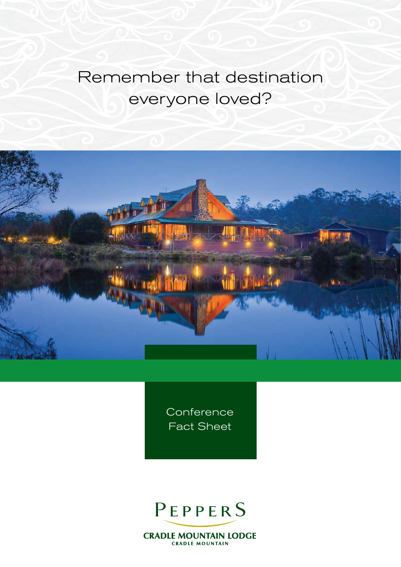# Remember that destination everyone loved?



**Conference** Fact Sheet

## PEPPERS

**CRADLE MOUNTAIN LODGE CRADLE MOUNTAIN**